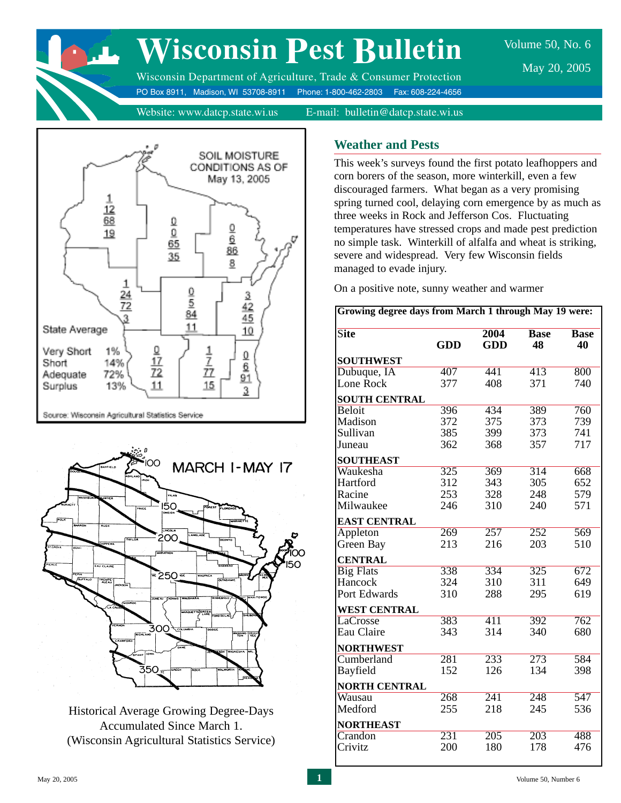

# **Wisconsin Pest Bulletin**

Volume 50, No. 6 May 20, 2005

Wisconsin Department of Agriculture, Trade & Consumer Protection PO Box 8911, Madison, WI 53708-8911 Phone: 1-800-462-2803 Fax: 608-224-4656

Website: www.datcp.state.wi.us E-mail: bulletin@datcp.state.wi.us





Historical Average Growing Degree-Days Accumulated Since March 1. (Wisconsin Agricultural Statistics Service)

# **Weather and Pests**

This week's surveys found the first potato leafhoppers and corn borers of the season, more winterkill, even a few discouraged farmers. What began as a very promising spring turned cool, delaying corn emergence by as much as three weeks in Rock and Jefferson Cos. Fluctuating temperatures have stressed crops and made pest prediction no simple task. Winterkill of alfalfa and wheat is striking, severe and widespread. Very few Wisconsin fields managed to evade injury.

On a positive note, sunny weather and warmer

| <b>Site</b>          |                  | 2004             | <b>Base</b>      | <b>Base</b> |  |
|----------------------|------------------|------------------|------------------|-------------|--|
|                      | GDD              | <b>GDD</b>       | 48               | 40          |  |
| <b>SOUTHWEST</b>     |                  |                  |                  |             |  |
| Dubuque, IA          | 407              | 441              | $\overline{413}$ | 800         |  |
| Lone Rock            | 377              | 408              | 371              | 740         |  |
| <b>SOUTH CENTRAL</b> |                  |                  |                  |             |  |
| Beloit               | 396              | 434              | 389              | 760         |  |
| Madison              | 372              | 375              | 373              | 739         |  |
| Sullivan             | 385              | 399              | 373              | 741         |  |
| Juneau               | 362              | 368              | 357              | 717         |  |
| <b>SOUTHEAST</b>     |                  |                  |                  |             |  |
| Waukesha             | 325              | 369              | $\overline{314}$ | 668         |  |
| Hartford             | 312              | 343              | 305              | 652         |  |
| Racine               | 253              | 328              | 248              | 579         |  |
| Milwaukee            | 246              | 310              | 240              | 571         |  |
| <b>EAST CENTRAL</b>  |                  |                  |                  |             |  |
| Appleton             | 269              | 257              | $\overline{252}$ | 569         |  |
| Green Bay            | 213              | 216              | 203              | 510         |  |
| <b>CENTRAL</b>       |                  |                  |                  |             |  |
| <b>Big Flats</b>     | 338              | 334              | 325              | 672         |  |
| Hancock              | 324              | 310              | 311              | 649         |  |
| Port Edwards         | 310              | 288              | 295              | 619         |  |
| <b>WEST CENTRAL</b>  |                  |                  |                  |             |  |
| LaCrosse             | 383              | $\overline{411}$ | 392              | 762         |  |
| Eau Claire           | 343              | 314              | 340              | 680         |  |
| <b>NORTHWEST</b>     |                  |                  |                  |             |  |
| Cumberland           | 281              | $\overline{233}$ | $\overline{273}$ | 584         |  |
| Bayfield             | 152              | 126              | 134              | 398         |  |
| <b>NORTH CENTRAL</b> |                  |                  |                  |             |  |
| Wausau               | 268              | $\overline{241}$ | 248              | 547         |  |
| Medford              | 255              | 218              | 245              | 536         |  |
| <b>NORTHEAST</b>     |                  |                  |                  |             |  |
| Crandon              | $\overline{231}$ | $\overline{205}$ | $\overline{203}$ | 488         |  |
| Crivitz              | 200              | 180              | 178              | 476         |  |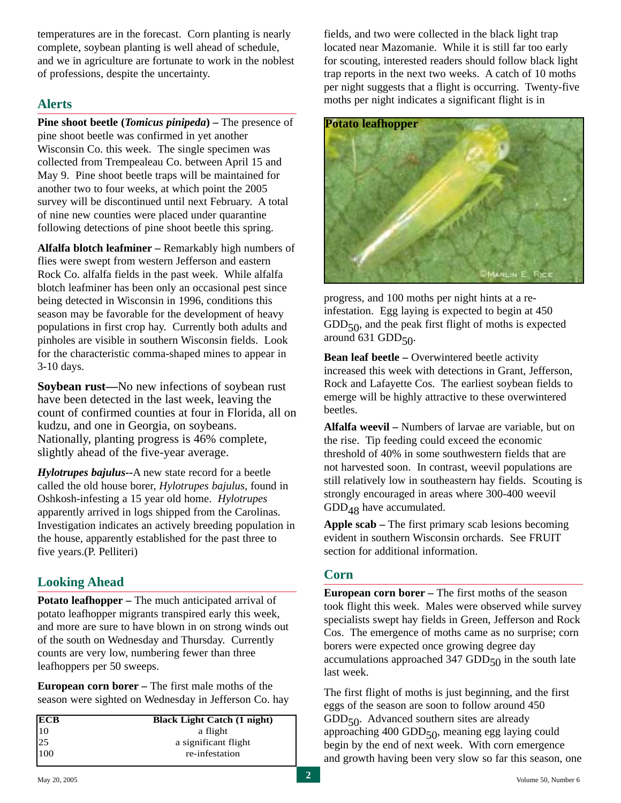temperatures are in the forecast. Corn planting is nearly complete, soybean planting is well ahead of schedule, and we in agriculture are fortunate to work in the noblest of professions, despite the uncertainty.

# **Alerts**

**Pine shoot beetle (***Tomicus pinipeda***) –** The presence of pine shoot beetle was confirmed in yet another Wisconsin Co. this week. The single specimen was collected from Trempealeau Co. between April 15 and May 9. Pine shoot beetle traps will be maintained for another two to four weeks, at which point the 2005 survey will be discontinued until next February. A total of nine new counties were placed under quarantine following detections of pine shoot beetle this spring.

**Alfalfa blotch leafminer –** Remarkably high numbers of flies were swept from western Jefferson and eastern Rock Co. alfalfa fields in the past week. While alfalfa blotch leafminer has been only an occasional pest since being detected in Wisconsin in 1996, conditions this season may be favorable for the development of heavy populations in first crop hay. Currently both adults and pinholes are visible in southern Wisconsin fields. Look for the characteristic comma-shaped mines to appear in 3-10 days.

**Soybean rust—**No new infections of soybean rust have been detected in the last week, leaving the count of confirmed counties at four in Florida, all on kudzu, and one in Georgia, on soybeans. Nationally, planting progress is 46% complete, slightly ahead of the five-year average.

*Hylotrupes bajulus--*A new state record for a beetle called the old house borer, *Hylotrupes bajulus,* found in Oshkosh-infesting a 15 year old home. *Hylotrupes* apparently arrived in logs shipped from the Carolinas. Investigation indicates an actively breeding population in the house, apparently established for the past three to five years.(P. Pelliteri)

# **Looking Ahead**

**Potato leafhopper – The much anticipated arrival of** potato leafhopper migrants transpired early this week, and more are sure to have blown in on strong winds out of the south on Wednesday and Thursday. Currently counts are very low, numbering fewer than three leafhoppers per 50 sweeps.

**European corn borer –** The first male moths of the season were sighted on Wednesday in Jefferson Co. hay

| $\frac{\text{ECB}}{10}$ | <b>Black Light Catch (1 night)</b> |  |  |  |  |
|-------------------------|------------------------------------|--|--|--|--|
|                         | a flight                           |  |  |  |  |
| 25                      | a significant flight               |  |  |  |  |
| 100                     | re-infestation                     |  |  |  |  |

fields, and two were collected in the black light trap located near Mazomanie. While it is still far too early for scouting, interested readers should follow black light trap reports in the next two weeks. A catch of 10 moths per night suggests that a flight is occurring. Twenty-five moths per night indicates a significant flight is in



progress, and 100 moths per night hints at a reinfestation. Egg laying is expected to begin at 450  $GDD<sub>50</sub>$ , and the peak first flight of moths is expected around 631 GDD $50$ .

**Bean leaf beetle – Overwintered beetle activity** increased this week with detections in Grant, Jefferson, Rock and Lafayette Cos. The earliest soybean fields to emerge will be highly attractive to these overwintered beetles.

**Alfalfa weevil –** Numbers of larvae are variable, but on the rise. Tip feeding could exceed the economic threshold of 40% in some southwestern fields that are not harvested soon. In contrast, weevil populations are still relatively low in southeastern hay fields. Scouting is strongly encouraged in areas where 300-400 weevil  $GDD_{48}$  have accumulated.

**Apple scab –** The first primary scab lesions becoming evident in southern Wisconsin orchards. See FRUIT section for additional information.

## **Corn**

**European corn borer –** The first moths of the season took flight this week. Males were observed while survey specialists swept hay fields in Green, Jefferson and Rock Cos. The emergence of moths came as no surprise; corn borers were expected once growing degree day accumulations approached 347 GDD $_{50}$  in the south late last week.

The first flight of moths is just beginning, and the first eggs of the season are soon to follow around 450 GDD<sub>50</sub>. Advanced southern sites are already approaching  $400$  GDD $_{50}$ , meaning egg laying could begin by the end of next week. With corn emergence and growth having been very slow so far this season, one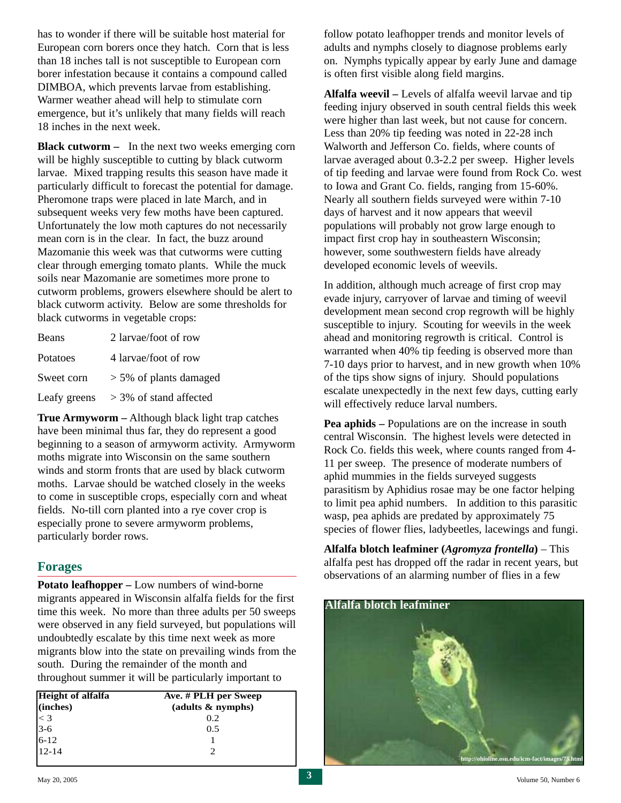has to wonder if there will be suitable host material for European corn borers once they hatch. Corn that is less than 18 inches tall is not susceptible to European corn borer infestation because it contains a compound called DIMBOA, which prevents larvae from establishing. Warmer weather ahead will help to stimulate corn emergence, but it's unlikely that many fields will reach 18 inches in the next week.

**Black cutworm –** In the next two weeks emerging corn will be highly susceptible to cutting by black cutworm larvae. Mixed trapping results this season have made it particularly difficult to forecast the potential for damage. Pheromone traps were placed in late March, and in subsequent weeks very few moths have been captured. Unfortunately the low moth captures do not necessarily mean corn is in the clear. In fact, the buzz around Mazomanie this week was that cutworms were cutting clear through emerging tomato plants. While the muck soils near Mazomanie are sometimes more prone to cutworm problems, growers elsewhere should be alert to black cutworm activity. Below are some thresholds for black cutworms in vegetable crops:

| Beans        | 2 larvae/foot of row      |
|--------------|---------------------------|
| Potatoes     | 4 larvae/foot of row      |
| Sweet corn   | $> 5\%$ of plants damaged |
| Leafy greens | $>$ 3% of stand affected  |

**True Armyworm –** Although black light trap catches have been minimal thus far, they do represent a good beginning to a season of armyworm activity. Armyworm moths migrate into Wisconsin on the same southern winds and storm fronts that are used by black cutworm moths. Larvae should be watched closely in the weeks to come in susceptible crops, especially corn and wheat fields. No-till corn planted into a rye cover crop is especially prone to severe armyworm problems, particularly border rows.

#### **Forages**

**Potato leafhopper –** Low numbers of wind-borne migrants appeared in Wisconsin alfalfa fields for the first time this week. No more than three adults per 50 sweeps were observed in any field surveyed, but populations will undoubtedly escalate by this time next week as more migrants blow into the state on prevailing winds from the south. During the remainder of the month and throughout summer it will be particularly important to

| Height of alfalfa            | Ave. # PLH per Sweep |  |  |  |  |  |
|------------------------------|----------------------|--|--|--|--|--|
| (inches)                     | ( adults & nymbols)  |  |  |  |  |  |
| $\frac{1}{3}$<br>3-6<br>6-12 | 0.2                  |  |  |  |  |  |
|                              | 0.5                  |  |  |  |  |  |
|                              |                      |  |  |  |  |  |
| $12 - 14$                    |                      |  |  |  |  |  |

follow potato leafhopper trends and monitor levels of adults and nymphs closely to diagnose problems early on. Nymphs typically appear by early June and damage is often first visible along field margins.

**Alfalfa weevil –** Levels of alfalfa weevil larvae and tip feeding injury observed in south central fields this week were higher than last week, but not cause for concern. Less than 20% tip feeding was noted in 22-28 inch Walworth and Jefferson Co. fields, where counts of larvae averaged about 0.3-2.2 per sweep. Higher levels of tip feeding and larvae were found from Rock Co. west to Iowa and Grant Co. fields, ranging from 15-60%. Nearly all southern fields surveyed were within 7-10 days of harvest and it now appears that weevil populations will probably not grow large enough to impact first crop hay in southeastern Wisconsin; however, some southwestern fields have already developed economic levels of weevils.

In addition, although much acreage of first crop may evade injury, carryover of larvae and timing of weevil development mean second crop regrowth will be highly susceptible to injury. Scouting for weevils in the week ahead and monitoring regrowth is critical. Control is warranted when 40% tip feeding is observed more than 7-10 days prior to harvest, and in new growth when 10% of the tips show signs of injury. Should populations escalate unexpectedly in the next few days, cutting early will effectively reduce larval numbers.

**Pea aphids –** Populations are on the increase in south central Wisconsin. The highest levels were detected in Rock Co. fields this week, where counts ranged from 4- 11 per sweep. The presence of moderate numbers of aphid mummies in the fields surveyed suggests parasitism by Aphidius rosae may be one factor helping to limit pea aphid numbers. In addition to this parasitic wasp, pea aphids are predated by approximately 75 species of flower flies, ladybeetles, lacewings and fungi.

**Alfalfa blotch leafminer (***Agromyza frontella***)** – This alfalfa pest has dropped off the radar in recent years, but observations of an alarming number of flies in a few

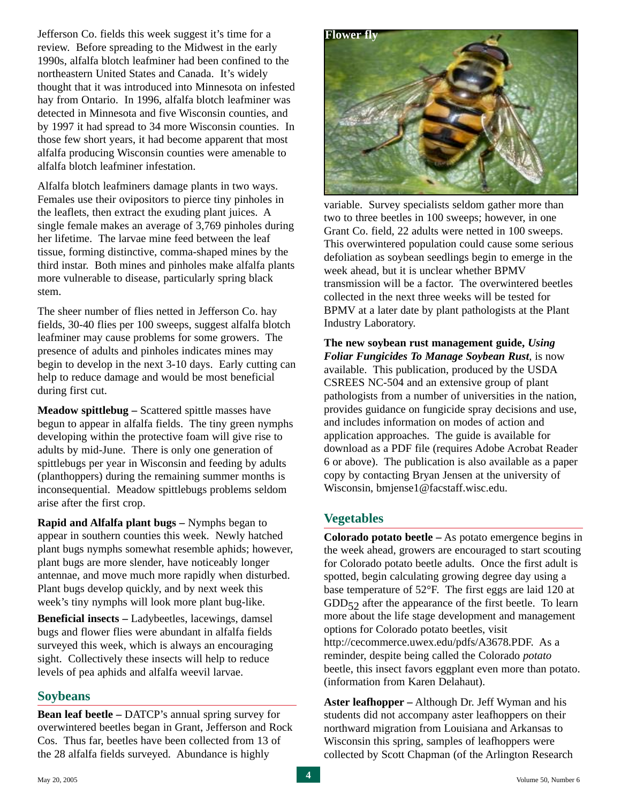Jefferson Co. fields this week suggest it's time for a review. Before spreading to the Midwest in the early 1990s, alfalfa blotch leafminer had been confined to the northeastern United States and Canada. It's widely thought that it was introduced into Minnesota on infested hay from Ontario. In 1996, alfalfa blotch leafminer was detected in Minnesota and five Wisconsin counties, and by 1997 it had spread to 34 more Wisconsin counties. In those few short years, it had become apparent that most alfalfa producing Wisconsin counties were amenable to alfalfa blotch leafminer infestation.

Alfalfa blotch leafminers damage plants in two ways. Females use their ovipositors to pierce tiny pinholes in the leaflets, then extract the exuding plant juices. A single female makes an average of 3,769 pinholes during her lifetime. The larvae mine feed between the leaf tissue, forming distinctive, comma-shaped mines by the third instar. Both mines and pinholes make alfalfa plants more vulnerable to disease, particularly spring black stem.

The sheer number of flies netted in Jefferson Co. hay fields, 30-40 flies per 100 sweeps, suggest alfalfa blotch leafminer may cause problems for some growers. The presence of adults and pinholes indicates mines may begin to develop in the next 3-10 days. Early cutting can help to reduce damage and would be most beneficial during first cut.

**Meadow spittlebug –** Scattered spittle masses have begun to appear in alfalfa fields. The tiny green nymphs developing within the protective foam will give rise to adults by mid-June. There is only one generation of spittlebugs per year in Wisconsin and feeding by adults (planthoppers) during the remaining summer months is inconsequential. Meadow spittlebugs problems seldom arise after the first crop.

**Rapid and Alfalfa plant bugs –** Nymphs began to appear in southern counties this week. Newly hatched plant bugs nymphs somewhat resemble aphids; however, plant bugs are more slender, have noticeably longer antennae, and move much more rapidly when disturbed. Plant bugs develop quickly, and by next week this week's tiny nymphs will look more plant bug-like.

**Beneficial insects –** Ladybeetles, lacewings, damsel bugs and flower flies were abundant in alfalfa fields surveyed this week, which is always an encouraging sight. Collectively these insects will help to reduce levels of pea aphids and alfalfa weevil larvae.

#### **Soybeans**

**Bean leaf beetle –** DATCP's annual spring survey for overwintered beetles began in Grant, Jefferson and Rock Cos. Thus far, beetles have been collected from 13 of the 28 alfalfa fields surveyed. Abundance is highly



variable. Survey specialists seldom gather more than two to three beetles in 100 sweeps; however, in one Grant Co. field, 22 adults were netted in 100 sweeps. This overwintered population could cause some serious defoliation as soybean seedlings begin to emerge in the week ahead, but it is unclear whether BPMV transmission will be a factor. The overwintered beetles collected in the next three weeks will be tested for BPMV at a later date by plant pathologists at the Plant Industry Laboratory.

**The new soybean rust management guide,** *Using Foliar Fungicides To Manage Soybean Rust*, is now available. This publication, produced by the USDA CSREES NC-504 and an extensive group of plant pathologists from a number of universities in the nation, provides guidance on fungicide spray decisions and use, and includes information on modes of action and application approaches. The guide is available for download as a PDF file (requires Adobe Acrobat Reader 6 or above). The publication is also available as a paper copy by contacting Bryan Jensen at the university of Wisconsin, bmjense1@facstaff.wisc.edu.

# **Vegetables**

**Colorado potato beetle –** As potato emergence begins in the week ahead, growers are encouraged to start scouting for Colorado potato beetle adults. Once the first adult is spotted, begin calculating growing degree day using a base temperature of 52°F. The first eggs are laid 120 at  $GDD_{52}$  after the appearance of the first beetle. To learn more about the life stage development and management options for Colorado potato beetles, visit http://cecommerce.uwex.edu/pdfs/A3678.PDF. As a reminder, despite being called the Colorado *potato* beetle, this insect favors eggplant even more than potato. (information from Karen Delahaut).

**Aster leafhopper –** Although Dr. Jeff Wyman and his students did not accompany aster leafhoppers on their northward migration from Louisiana and Arkansas to Wisconsin this spring, samples of leafhoppers were collected by Scott Chapman (of the Arlington Research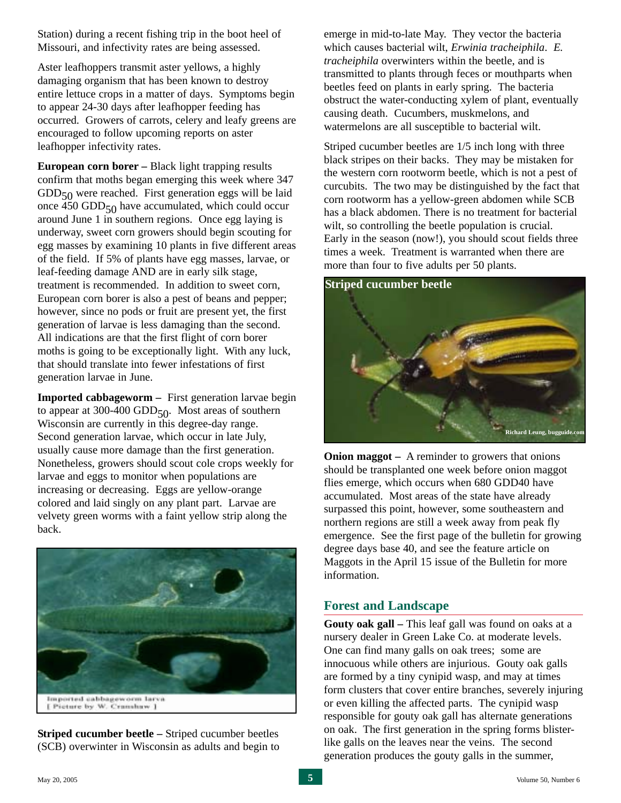Station) during a recent fishing trip in the boot heel of Missouri, and infectivity rates are being assessed.

Aster leafhoppers transmit aster yellows, a highly damaging organism that has been known to destroy entire lettuce crops in a matter of days. Symptoms begin to appear 24-30 days after leafhopper feeding has occurred. Growers of carrots, celery and leafy greens are encouraged to follow upcoming reports on aster leafhopper infectivity rates.

**European corn borer –** Black light trapping results confirm that moths began emerging this week where 347  $GDD<sub>50</sub>$  were reached. First generation eggs will be laid once 450 GDD $_{50}$  have accumulated, which could occur around June 1 in southern regions. Once egg laying is underway, sweet corn growers should begin scouting for egg masses by examining 10 plants in five different areas of the field. If 5% of plants have egg masses, larvae, or leaf-feeding damage AND are in early silk stage, treatment is recommended. In addition to sweet corn, European corn borer is also a pest of beans and pepper; however, since no pods or fruit are present yet, the first generation of larvae is less damaging than the second. All indications are that the first flight of corn borer moths is going to be exceptionally light. With any luck, that should translate into fewer infestations of first generation larvae in June.

**Imported cabbageworm –** First generation larvae begin to appear at 300-400 GDD $_{50}$ . Most areas of southern Wisconsin are currently in this degree-day range. Second generation larvae, which occur in late July, usually cause more damage than the first generation. Nonetheless, growers should scout cole crops weekly for larvae and eggs to monitor when populations are increasing or decreasing. Eggs are yellow-orange colored and laid singly on any plant part. Larvae are velvety green worms with a faint yellow strip along the back.



**Striped cucumber beetle –** Striped cucumber beetles (SCB) overwinter in Wisconsin as adults and begin to emerge in mid-to-late May. They vector the bacteria which causes bacterial wilt, *Erwinia tracheiphila*. *E. tracheiphila* overwinters within the beetle, and is transmitted to plants through feces or mouthparts when beetles feed on plants in early spring. The bacteria obstruct the water-conducting xylem of plant, eventually causing death. Cucumbers, muskmelons, and watermelons are all susceptible to bacterial wilt.

Striped cucumber beetles are 1/5 inch long with three black stripes on their backs. They may be mistaken for the western corn rootworm beetle, which is not a pest of curcubits. The two may be distinguished by the fact that corn rootworm has a yellow-green abdomen while SCB has a black abdomen. There is no treatment for bacterial wilt, so controlling the beetle population is crucial. Early in the season (now!), you should scout fields three times a week. Treatment is warranted when there are more than four to five adults per 50 plants.

#### **Striped cucumber beetle**



**Onion maggot** – A reminder to growers that onions should be transplanted one week before onion maggot flies emerge, which occurs when 680 GDD40 have accumulated. Most areas of the state have already surpassed this point, however, some southeastern and northern regions are still a week away from peak fly emergence. See the first page of the bulletin for growing degree days base 40, and see the feature article on Maggots in the April 15 issue of the Bulletin for more information.

## **Forest and Landscape**

**Gouty oak gall –** This leaf gall was found on oaks at a nursery dealer in Green Lake Co. at moderate levels. One can find many galls on oak trees; some are innocuous while others are injurious. Gouty oak galls are formed by a tiny cynipid wasp, and may at times form clusters that cover entire branches, severely injuring or even killing the affected parts. The cynipid wasp responsible for gouty oak gall has alternate generations on oak. The first generation in the spring forms blisterlike galls on the leaves near the veins. The second generation produces the gouty galls in the summer,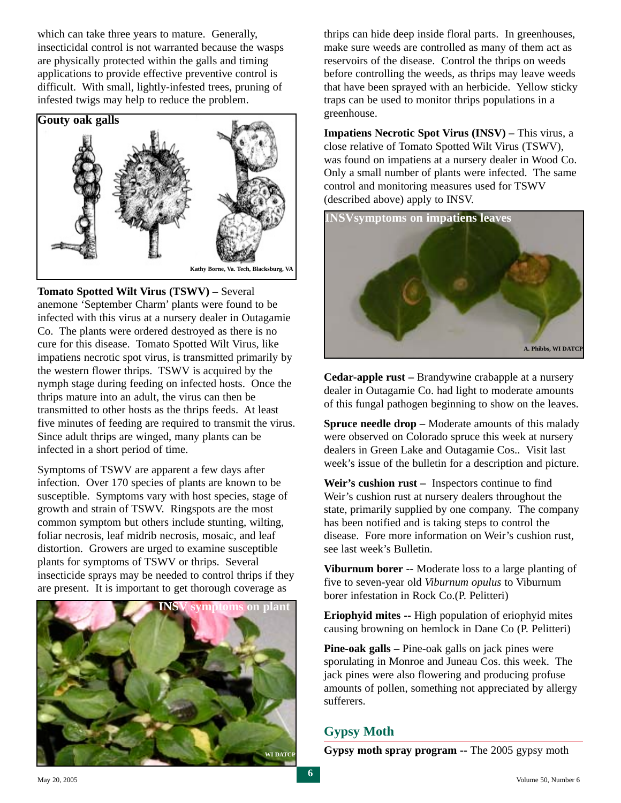which can take three years to mature. Generally, insecticidal control is not warranted because the wasps are physically protected within the galls and timing applications to provide effective preventive control is difficult. With small, lightly-infested trees, pruning of infested twigs may help to reduce the problem.



**Tomato Spotted Wilt Virus (TSWV) –** Several anemone 'September Charm' plants were found to be infected with this virus at a nursery dealer in Outagamie Co. The plants were ordered destroyed as there is no cure for this disease. Tomato Spotted Wilt Virus, like impatiens necrotic spot virus, is transmitted primarily by the western flower thrips. TSWV is acquired by the nymph stage during feeding on infected hosts. Once the thrips mature into an adult, the virus can then be transmitted to other hosts as the thrips feeds. At least five minutes of feeding are required to transmit the virus. Since adult thrips are winged, many plants can be infected in a short period of time.

Symptoms of TSWV are apparent a few days after infection. Over 170 species of plants are known to be susceptible. Symptoms vary with host species, stage of growth and strain of TSWV. Ringspots are the most common symptom but others include stunting, wilting, foliar necrosis, leaf midrib necrosis, mosaic, and leaf distortion. Growers are urged to examine susceptible plants for symptoms of TSWV or thrips. Several insecticide sprays may be needed to control thrips if they are present. It is important to get thorough coverage as



thrips can hide deep inside floral parts. In greenhouses, make sure weeds are controlled as many of them act as reservoirs of the disease. Control the thrips on weeds before controlling the weeds, as thrips may leave weeds that have been sprayed with an herbicide. Yellow sticky traps can be used to monitor thrips populations in a greenhouse.

**Impatiens Necrotic Spot Virus (INSV) – This virus, a** close relative of Tomato Spotted Wilt Virus (TSWV), was found on impatiens at a nursery dealer in Wood Co. Only a small number of plants were infected. The same control and monitoring measures used for TSWV (described above) apply to INSV.



**Cedar-apple rust –** Brandywine crabapple at a nursery dealer in Outagamie Co. had light to moderate amounts of this fungal pathogen beginning to show on the leaves.

**Spruce needle drop –** Moderate amounts of this malady were observed on Colorado spruce this week at nursery dealers in Green Lake and Outagamie Cos.. Visit last week's issue of the bulletin for a description and picture.

**Weir's cushion rust –** Inspectors continue to find Weir's cushion rust at nursery dealers throughout the state, primarily supplied by one company. The company has been notified and is taking steps to control the disease. Fore more information on Weir's cushion rust, see last week's Bulletin.

**Viburnum borer --** Moderate loss to a large planting of five to seven-year old *Viburnum opulus* to Viburnum borer infestation in Rock Co.(P. Pelitteri)

**Eriophyid mites --** High population of eriophyid mites causing browning on hemlock in Dane Co (P. Pelitteri)

**Pine-oak galls –** Pine-oak galls on jack pines were sporulating in Monroe and Juneau Cos. this week. The jack pines were also flowering and producing profuse amounts of pollen, something not appreciated by allergy sufferers.

# **Gypsy Moth**

**Gypsy moth spray program --** The 2005 gypsy moth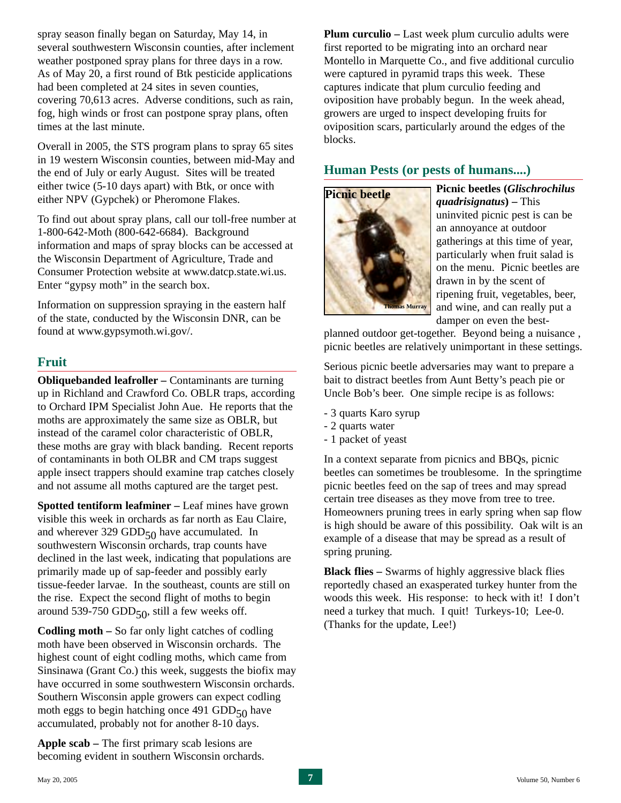spray season finally began on Saturday, May 14, in several southwestern Wisconsin counties, after inclement weather postponed spray plans for three days in a row. As of May 20, a first round of Btk pesticide applications had been completed at 24 sites in seven counties, covering 70,613 acres. Adverse conditions, such as rain, fog, high winds or frost can postpone spray plans, often times at the last minute.

Overall in 2005, the STS program plans to spray 65 sites in 19 western Wisconsin counties, between mid-May and the end of July or early August. Sites will be treated either twice (5-10 days apart) with Btk, or once with either NPV (Gypchek) or Pheromone Flakes.

To find out about spray plans, call our toll-free number at 1-800-642-Moth (800-642-6684). Background information and maps of spray blocks can be accessed at the Wisconsin Department of Agriculture, Trade and Consumer Protection website at www.datcp.state.wi.us. Enter "gypsy moth" in the search box.

Information on suppression spraying in the eastern half of the state, conducted by the Wisconsin DNR, can be found at www.gypsymoth.wi.gov/.

## **Fruit**

**Obliquebanded leafroller – Contaminants are turning** up in Richland and Crawford Co. OBLR traps, according to Orchard IPM Specialist John Aue. He reports that the moths are approximately the same size as OBLR, but instead of the caramel color characteristic of OBLR, these moths are gray with black banding. Recent reports of contaminants in both OLBR and CM traps suggest apple insect trappers should examine trap catches closely and not assume all moths captured are the target pest.

**Spotted tentiform leafminer –** Leaf mines have grown visible this week in orchards as far north as Eau Claire, and wherever 329  $GDD_{50}$  have accumulated. In southwestern Wisconsin orchards, trap counts have declined in the last week, indicating that populations are primarily made up of sap-feeder and possibly early tissue-feeder larvae. In the southeast, counts are still on the rise. Expect the second flight of moths to begin around 539-750 GDD $_{50}$ , still a few weeks off.

**Codling moth –** So far only light catches of codling moth have been observed in Wisconsin orchards. The highest count of eight codling moths, which came from Sinsinawa (Grant Co.) this week, suggests the biofix may have occurred in some southwestern Wisconsin orchards. Southern Wisconsin apple growers can expect codling moth eggs to begin hatching once 491 GDD $_{50}$  have accumulated, probably not for another 8-10 days.

**Apple scab –** The first primary scab lesions are becoming evident in southern Wisconsin orchards. **Plum curculio –** Last week plum curculio adults were first reported to be migrating into an orchard near Montello in Marquette Co., and five additional curculio were captured in pyramid traps this week. These captures indicate that plum curculio feeding and oviposition have probably begun. In the week ahead, growers are urged to inspect developing fruits for oviposition scars, particularly around the edges of the blocks.

# **Human Pests (or pests of humans....)**



**Picnic beetles (***Glischrochilus quadrisignatus***) –** This uninvited picnic pest is can be an annoyance at outdoor gatherings at this time of year, particularly when fruit salad is on the menu. Picnic beetles are drawn in by the scent of ripening fruit, vegetables, beer, and wine, and can really put a damper on even the best-

planned outdoor get-together. Beyond being a nuisance , picnic beetles are relatively unimportant in these settings.

Serious picnic beetle adversaries may want to prepare a bait to distract beetles from Aunt Betty's peach pie or Uncle Bob's beer. One simple recipe is as follows:

- 3 quarts Karo syrup
- 2 quarts water
- 1 packet of yeast

In a context separate from picnics and BBQs, picnic beetles can sometimes be troublesome. In the springtime picnic beetles feed on the sap of trees and may spread certain tree diseases as they move from tree to tree. Homeowners pruning trees in early spring when sap flow is high should be aware of this possibility. Oak wilt is an example of a disease that may be spread as a result of spring pruning.

**Black flies –** Swarms of highly aggressive black flies reportedly chased an exasperated turkey hunter from the woods this week. His response: to heck with it! I don't need a turkey that much. I quit! Turkeys-10; Lee-0. (Thanks for the update, Lee!)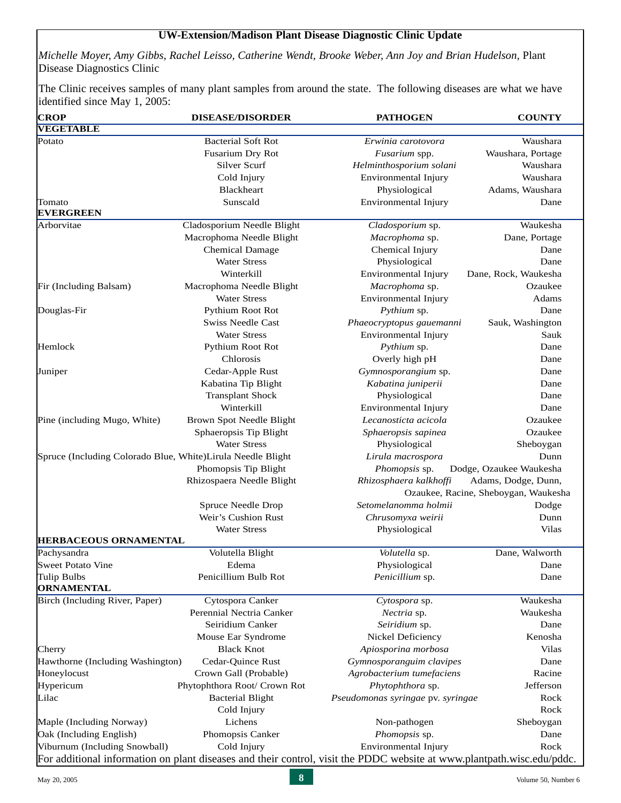#### **UW-Extension/Madison Plant Disease Diagnostic Clinic Update**

*Michelle Moyer, Amy Gibbs, Rachel Leisso, Catherine Wendt, Brooke Weber, Ann Joy and Brian Hudelson,* Plant Disease Diagnostics Clinic

The Clinic receives samples of many plant samples from around the state. The following diseases are what we have identified since May 1, 2005:

| <b>CROP</b>                                                 | <b>DISEASE/DISORDER</b>      | <b>PATHOGEN</b>                                                                                                                                                                   | <b>COUNTY</b>                                               |  |
|-------------------------------------------------------------|------------------------------|-----------------------------------------------------------------------------------------------------------------------------------------------------------------------------------|-------------------------------------------------------------|--|
| <b>VEGETABLE</b>                                            |                              |                                                                                                                                                                                   |                                                             |  |
| Potato                                                      | <b>Bacterial Soft Rot</b>    | Erwinia carotovora                                                                                                                                                                | Waushara                                                    |  |
|                                                             | Fusarium Dry Rot             | Fusarium spp.                                                                                                                                                                     | Waushara, Portage                                           |  |
|                                                             | Silver Scurf                 | Helminthosporium solani                                                                                                                                                           | Waushara                                                    |  |
|                                                             | Cold Injury                  | Environmental Injury                                                                                                                                                              | Waushara                                                    |  |
|                                                             | Blackheart                   | Physiological                                                                                                                                                                     | Adams, Waushara                                             |  |
| Tomato                                                      | Sunscald                     | Environmental Injury                                                                                                                                                              | Dane                                                        |  |
| <b>EVERGREEN</b>                                            |                              |                                                                                                                                                                                   |                                                             |  |
| Arborvitae                                                  | Cladosporium Needle Blight   | Cladosporium sp.                                                                                                                                                                  | Waukesha                                                    |  |
|                                                             | Macrophoma Needle Blight     | Macrophoma sp.                                                                                                                                                                    | Dane, Portage                                               |  |
|                                                             | Chemical Damage              | Chemical Injury                                                                                                                                                                   | Dane                                                        |  |
|                                                             | <b>Water Stress</b>          | Physiological                                                                                                                                                                     | Dane                                                        |  |
|                                                             | Winterkill                   | Environmental Injury                                                                                                                                                              | Dane, Rock, Waukesha                                        |  |
| Fir (Including Balsam)                                      | Macrophoma Needle Blight     | Macrophoma sp.                                                                                                                                                                    | Ozaukee                                                     |  |
|                                                             | <b>Water Stress</b>          | Environmental Injury                                                                                                                                                              | Adams                                                       |  |
| Douglas-Fir                                                 | Pythium Root Rot             | Pythium sp.                                                                                                                                                                       | Dane                                                        |  |
|                                                             | Swiss Needle Cast            | Phaeocryptopus gauemanni                                                                                                                                                          | Sauk, Washington                                            |  |
|                                                             | <b>Water Stress</b>          | Environmental Injury                                                                                                                                                              | Sauk                                                        |  |
| Hemlock                                                     | Pythium Root Rot             | Pythium sp.<br>Chlorosis<br>Overly high pH<br>Gymnosporangium sp.<br>Kabatina juniperii<br>Physiological<br>Winterkill<br>Environmental Injury<br>Lecanosticta acicola<br>Ozaukee |                                                             |  |
|                                                             |                              |                                                                                                                                                                                   | Dane                                                        |  |
| Juniper                                                     | Cedar-Apple Rust             |                                                                                                                                                                                   | Dane                                                        |  |
|                                                             | Kabatina Tip Blight          |                                                                                                                                                                                   | Dane                                                        |  |
|                                                             | <b>Transplant Shock</b>      |                                                                                                                                                                                   | Dane                                                        |  |
|                                                             |                              |                                                                                                                                                                                   | Dane                                                        |  |
| Pine (including Mugo, White)                                | Brown Spot Needle Blight     |                                                                                                                                                                                   |                                                             |  |
|                                                             | Sphaeropsis Tip Blight       | Sphaeropsis sapinea                                                                                                                                                               | Ozaukee                                                     |  |
|                                                             | <b>Water Stress</b>          | Physiological                                                                                                                                                                     | Sheboygan                                                   |  |
| Spruce (Including Colorado Blue, White)Lirula Needle Blight |                              | Lirula macrospora                                                                                                                                                                 | Dunn                                                        |  |
|                                                             | Phomopsis Tip Blight         | Phomopsis sp.                                                                                                                                                                     | Dodge, Ozaukee Waukesha                                     |  |
|                                                             | Rhizospaera Needle Blight    | Rhizosphaera kalkhoffi                                                                                                                                                            | Adams, Dodge, Dunn,<br>Ozaukee, Racine, Sheboygan, Waukesha |  |
|                                                             | Spruce Needle Drop           | Setomelanomma holmii                                                                                                                                                              | Dodge                                                       |  |
|                                                             | Weir's Cushion Rust          | Chrusomyxa weirii                                                                                                                                                                 | Dunn                                                        |  |
|                                                             | <b>Water Stress</b>          | Physiological                                                                                                                                                                     | <b>Vilas</b>                                                |  |
| <b>HERBACEOUS ORNAMENTAL</b>                                |                              |                                                                                                                                                                                   |                                                             |  |
| Pachysandra                                                 | Volutella Blight             | Volutella sp.                                                                                                                                                                     | Dane, Walworth                                              |  |
| Sweet Potato Vine                                           | Edema                        | Physiological                                                                                                                                                                     | Dane                                                        |  |
| Tulip Bulbs                                                 | Penicillium Bulb Rot         | Penicillium sp.                                                                                                                                                                   | Dane                                                        |  |
| <b>ORNAMENTAL</b>                                           |                              |                                                                                                                                                                                   |                                                             |  |
| Birch (Including River, Paper)                              | Cytospora Canker             | Cytospora sp.                                                                                                                                                                     | Waukesha                                                    |  |
|                                                             | Perennial Nectria Canker     | Nectria sp.                                                                                                                                                                       | Waukesha                                                    |  |
|                                                             | Seiridium Canker             | Seiridium sp.                                                                                                                                                                     | Dane                                                        |  |
|                                                             | Mouse Ear Syndrome           | Nickel Deficiency                                                                                                                                                                 | Kenosha                                                     |  |
| Cherry                                                      | <b>Black Knot</b>            | Apiosporina morbosa                                                                                                                                                               | <b>Vilas</b>                                                |  |
| Hawthorne (Including Washington)                            | Cedar-Quince Rust            | Gymnosporanguim clavipes                                                                                                                                                          | Dane                                                        |  |
| Honeylocust                                                 | Crown Gall (Probable)        | Agrobacterium tumefaciens                                                                                                                                                         | Racine                                                      |  |
| Hypericum                                                   | Phytophthora Root/ Crown Rot | Phytophthora sp.                                                                                                                                                                  | Jefferson                                                   |  |
| Lilac                                                       | <b>Bacterial Blight</b>      | Pseudomonas syringae pv. syringae                                                                                                                                                 | Rock                                                        |  |
|                                                             | Cold Injury                  |                                                                                                                                                                                   | Rock                                                        |  |
| Maple (Including Norway)                                    | Lichens                      | Non-pathogen                                                                                                                                                                      | Sheboygan                                                   |  |
| Oak (Including English)                                     | Phomopsis Canker             | Phomopsis sp.                                                                                                                                                                     | Dane                                                        |  |
| Viburnum (Including Snowball)                               | Cold Injury                  | Environmental Injury                                                                                                                                                              | Rock                                                        |  |
|                                                             |                              | For additional information on plant diseases and their control, visit the PDDC website at www.plantpath.wisc.edu/pddc.                                                            |                                                             |  |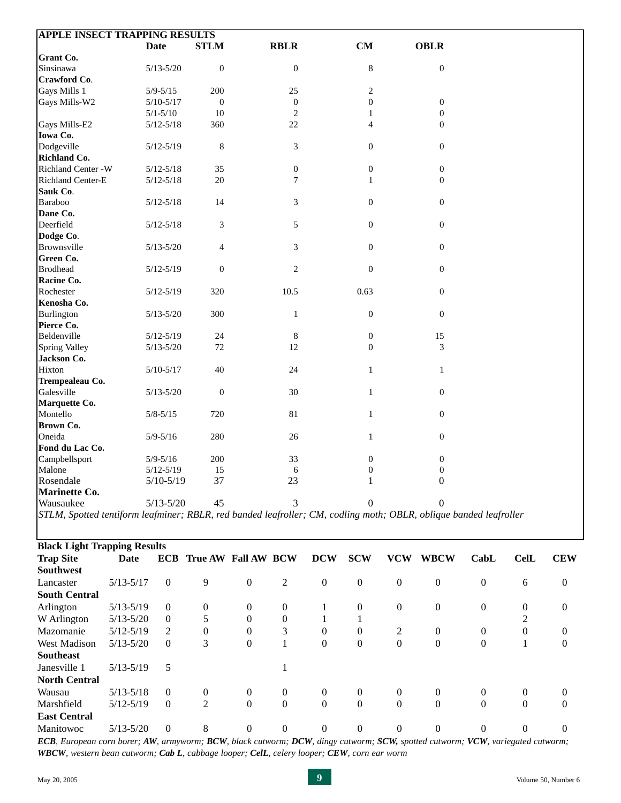| <b>APPLE INSECT TRAPPING RESULTS</b>                                                                              |               |                  |                                |                  |                  |                  |                  |                  |                  |                  |                  |                  |
|-------------------------------------------------------------------------------------------------------------------|---------------|------------------|--------------------------------|------------------|------------------|------------------|------------------|------------------|------------------|------------------|------------------|------------------|
|                                                                                                                   |               | Date             | <b>STLM</b>                    |                  | <b>RBLR</b>      |                  | CM               |                  | <b>OBLR</b>      |                  |                  |                  |
| <b>Grant Co.</b>                                                                                                  |               |                  |                                |                  |                  |                  |                  |                  |                  |                  |                  |                  |
| Sinsinawa                                                                                                         |               | $5/13 - 5/20$    | $\boldsymbol{0}$               |                  | $\mathbf{0}$     |                  | $\,8\,$          |                  | $\boldsymbol{0}$ |                  |                  |                  |
| Crawford Co.                                                                                                      |               |                  |                                |                  |                  |                  |                  |                  |                  |                  |                  |                  |
| Gays Mills 1                                                                                                      |               | $5/9 - 5/15$     | 200                            |                  | 25               |                  | $\sqrt{2}$       |                  |                  |                  |                  |                  |
| Gays Mills-W2                                                                                                     |               | $5/10-5/17$      | $\mathbf{0}$                   |                  | $\boldsymbol{0}$ |                  | $\mathbf{0}$     |                  | $\mathbf{0}$     |                  |                  |                  |
|                                                                                                                   |               | $5/1 - 5/10$     | 10                             |                  | $\overline{2}$   |                  | 1                |                  | $\overline{0}$   |                  |                  |                  |
| Gays Mills-E2                                                                                                     |               | $5/12 - 5/18$    | 360                            |                  | 22               |                  | 4                |                  | $\overline{0}$   |                  |                  |                  |
| Iowa Co.                                                                                                          |               |                  |                                |                  |                  |                  |                  |                  |                  |                  |                  |                  |
| Dodgeville                                                                                                        |               | $5/12 - 5/19$    | $\,8\,$                        |                  | 3                |                  | $\mathbf{0}$     |                  | $\boldsymbol{0}$ |                  |                  |                  |
| Richland Co.                                                                                                      |               |                  |                                |                  |                  |                  |                  |                  |                  |                  |                  |                  |
| Richland Center -W                                                                                                |               | $5/12 - 5/18$    | 35                             |                  | $\mathbf{0}$     |                  | $\boldsymbol{0}$ |                  | $\mathbf{0}$     |                  |                  |                  |
| Richland Center-E                                                                                                 |               | $5/12 - 5/18$    | 20                             |                  | 7                |                  | 1                |                  | $\overline{0}$   |                  |                  |                  |
| Sauk Co.                                                                                                          |               |                  |                                |                  |                  |                  |                  |                  |                  |                  |                  |                  |
| Baraboo                                                                                                           |               | $5/12 - 5/18$    | 14                             |                  | 3                |                  | $\boldsymbol{0}$ |                  | $\mathbf{0}$     |                  |                  |                  |
| Dane Co.                                                                                                          |               |                  |                                |                  |                  |                  |                  |                  |                  |                  |                  |                  |
| Deerfield                                                                                                         |               | $5/12 - 5/18$    | 3                              |                  | 5                |                  | $\mathbf{0}$     |                  | $\mathbf{0}$     |                  |                  |                  |
| Dodge Co.                                                                                                         |               |                  |                                |                  |                  |                  |                  |                  |                  |                  |                  |                  |
| Brownsville                                                                                                       |               | $5/13 - 5/20$    | $\overline{4}$                 |                  | 3                |                  | $\boldsymbol{0}$ |                  | $\mathbf{0}$     |                  |                  |                  |
| <b>Green Co.</b>                                                                                                  |               |                  |                                |                  |                  |                  |                  |                  |                  |                  |                  |                  |
| <b>Brodhead</b>                                                                                                   |               | $5/12 - 5/19$    | $\mathbf{0}$                   |                  | $\overline{c}$   |                  | $\boldsymbol{0}$ |                  | $\mathbf{0}$     |                  |                  |                  |
| Racine Co.                                                                                                        |               |                  |                                |                  |                  |                  |                  |                  |                  |                  |                  |                  |
| Rochester                                                                                                         |               | $5/12 - 5/19$    | 320                            |                  | 10.5             |                  | 0.63             |                  | $\overline{0}$   |                  |                  |                  |
| Kenosha Co.                                                                                                       |               |                  |                                |                  |                  |                  |                  |                  |                  |                  |                  |                  |
| Burlington                                                                                                        |               | $5/13 - 5/20$    | 300                            |                  | 1                |                  | $\boldsymbol{0}$ |                  | $\boldsymbol{0}$ |                  |                  |                  |
| Pierce Co.                                                                                                        |               |                  |                                |                  |                  |                  |                  |                  |                  |                  |                  |                  |
| Beldenville                                                                                                       |               | $5/12 - 5/19$    | 24                             |                  | $\,8\,$          |                  | $\boldsymbol{0}$ |                  | 15               |                  |                  |                  |
| <b>Spring Valley</b>                                                                                              |               | $5/13 - 5/20$    | 72                             |                  | 12               |                  | $\mathbf{0}$     |                  | 3                |                  |                  |                  |
| Jackson Co.                                                                                                       |               |                  |                                |                  |                  |                  |                  |                  |                  |                  |                  |                  |
|                                                                                                                   |               |                  |                                |                  |                  |                  |                  |                  |                  |                  |                  |                  |
| Hixton                                                                                                            |               | $5/10-5/17$      | 40                             |                  | 24               |                  | $\mathbf{1}$     |                  | $\mathbf{1}$     |                  |                  |                  |
| Trempealeau Co.<br>Galesville                                                                                     |               |                  |                                |                  |                  |                  |                  |                  |                  |                  |                  |                  |
|                                                                                                                   |               | $5/13 - 5/20$    | $\mathbf{0}$                   |                  | 30               |                  | 1                |                  | $\mathbf{0}$     |                  |                  |                  |
| Marquette Co.                                                                                                     |               |                  |                                |                  |                  |                  |                  |                  |                  |                  |                  |                  |
| Montello                                                                                                          |               | $5/8 - 5/15$     | 720                            |                  | 81               |                  | $\mathbf{1}$     |                  | $\boldsymbol{0}$ |                  |                  |                  |
| <b>Brown Co.</b>                                                                                                  |               |                  |                                |                  |                  |                  |                  |                  |                  |                  |                  |                  |
| Oneida                                                                                                            |               | $5/9 - 5/16$     | 280                            |                  | $26\,$           |                  | $\mathbf{1}$     |                  | $\mathbf{0}$     |                  |                  |                  |
| Fond du Lac Co.                                                                                                   |               |                  |                                |                  |                  |                  |                  |                  |                  |                  |                  |                  |
| Campbellsport                                                                                                     |               | $5/9 - 5/16$     | 200                            |                  | 33               |                  | $\mathbf{0}$     |                  | $\mathbf{0}$     |                  |                  |                  |
| Malone                                                                                                            |               | $5/12 - 5/19$    | 15                             |                  | 6                |                  | $\mathbf{0}$     |                  | $\mathbf{0}$     |                  |                  |                  |
| Rosendale                                                                                                         |               | $5/10-5/19$      | 37                             |                  | 23               |                  | $\mathbf{1}$     |                  | $\boldsymbol{0}$ |                  |                  |                  |
| Marinette Co.                                                                                                     |               |                  |                                |                  |                  |                  |                  |                  |                  |                  |                  |                  |
| Wausaukee                                                                                                         |               | $5/13 - 5/20$    | 45                             |                  | 3                |                  | $\Omega$         |                  | $\theta$         |                  |                  |                  |
| STLM, Spotted tentiform leafminer; RBLR, red banded leafroller; CM, codling moth; OBLR, oblique banded leafroller |               |                  |                                |                  |                  |                  |                  |                  |                  |                  |                  |                  |
|                                                                                                                   |               |                  |                                |                  |                  |                  |                  |                  |                  |                  |                  |                  |
| <b>Black Light Trapping Results</b>                                                                               |               |                  |                                |                  |                  |                  |                  |                  |                  |                  |                  |                  |
|                                                                                                                   |               |                  |                                |                  |                  |                  |                  |                  |                  |                  |                  |                  |
| <b>Trap Site</b>                                                                                                  | Date          |                  | <b>ECB True AW Fall AW BCW</b> |                  |                  | <b>DCW</b>       | <b>SCW</b>       | <b>VCW</b>       | <b>WBCW</b>      | CabL             | <b>CelL</b>      | <b>CEW</b>       |
| <b>Southwest</b>                                                                                                  |               |                  |                                |                  |                  |                  |                  |                  |                  |                  |                  |                  |
| Lancaster                                                                                                         | $5/13 - 5/17$ | $\boldsymbol{0}$ | 9                              | $\boldsymbol{0}$ | 2                | $\boldsymbol{0}$ | $\boldsymbol{0}$ | $\boldsymbol{0}$ | $\boldsymbol{0}$ | $\boldsymbol{0}$ | 6                | $\boldsymbol{0}$ |
| <b>South Central</b>                                                                                              |               |                  |                                |                  |                  |                  |                  |                  |                  |                  |                  |                  |
| Arlington                                                                                                         | $5/13 - 5/19$ | $\boldsymbol{0}$ | $\boldsymbol{0}$               | $\boldsymbol{0}$ | $\boldsymbol{0}$ | 1                | $\boldsymbol{0}$ | $\boldsymbol{0}$ | $\boldsymbol{0}$ | $\boldsymbol{0}$ | $\boldsymbol{0}$ | $\boldsymbol{0}$ |
| W Arlington                                                                                                       | $5/13 - 5/20$ | $\boldsymbol{0}$ | 5                              | $\boldsymbol{0}$ | $\boldsymbol{0}$ | 1                | 1                |                  |                  |                  | 2                |                  |
| Mazomanie                                                                                                         | $5/12 - 5/19$ | 2                | $\boldsymbol{0}$               | $\boldsymbol{0}$ | 3                | $\boldsymbol{0}$ | $\boldsymbol{0}$ | 2                | $\mathbf{0}$     | $\boldsymbol{0}$ | $\boldsymbol{0}$ | $\boldsymbol{0}$ |
| West Madison                                                                                                      | $5/13 - 5/20$ | $\boldsymbol{0}$ | 3                              | $\mathbf{0}$     | 1                | $\mathbf{0}$     | $\boldsymbol{0}$ | $\boldsymbol{0}$ | $\boldsymbol{0}$ | $\mathbf{0}$     | 1                | $\boldsymbol{0}$ |
|                                                                                                                   |               |                  |                                |                  |                  |                  |                  |                  |                  |                  |                  |                  |
| <b>Southeast</b>                                                                                                  |               |                  |                                |                  |                  |                  |                  |                  |                  |                  |                  |                  |
| Janesville 1                                                                                                      | $5/13 - 5/19$ | 5                |                                |                  | 1                |                  |                  |                  |                  |                  |                  |                  |
| <b>North Central</b>                                                                                              |               |                  |                                |                  |                  |                  |                  |                  |                  |                  |                  |                  |

Manitowoc 5/13-5/20 0 8 0 0 0 0 0 0 0 0 0 0 0 *ECB, European corn borer; AW, armyworm; BCW, black cutworm; DCW, dingy cutworm; SCW, spotted cutworm; VCW, variegated cutworm; WBCW, western bean cutworm; Cab L, cabbage looper; CelL, celery looper; CEW, corn ear worm*

Wausau 5/13-5/18 0 0 0 0 0 0 0 0 0 0 0 Marshfield 5/12-5/19 0 2 0 0 0 0 0 0 0 0 0 0 0

**East Central**